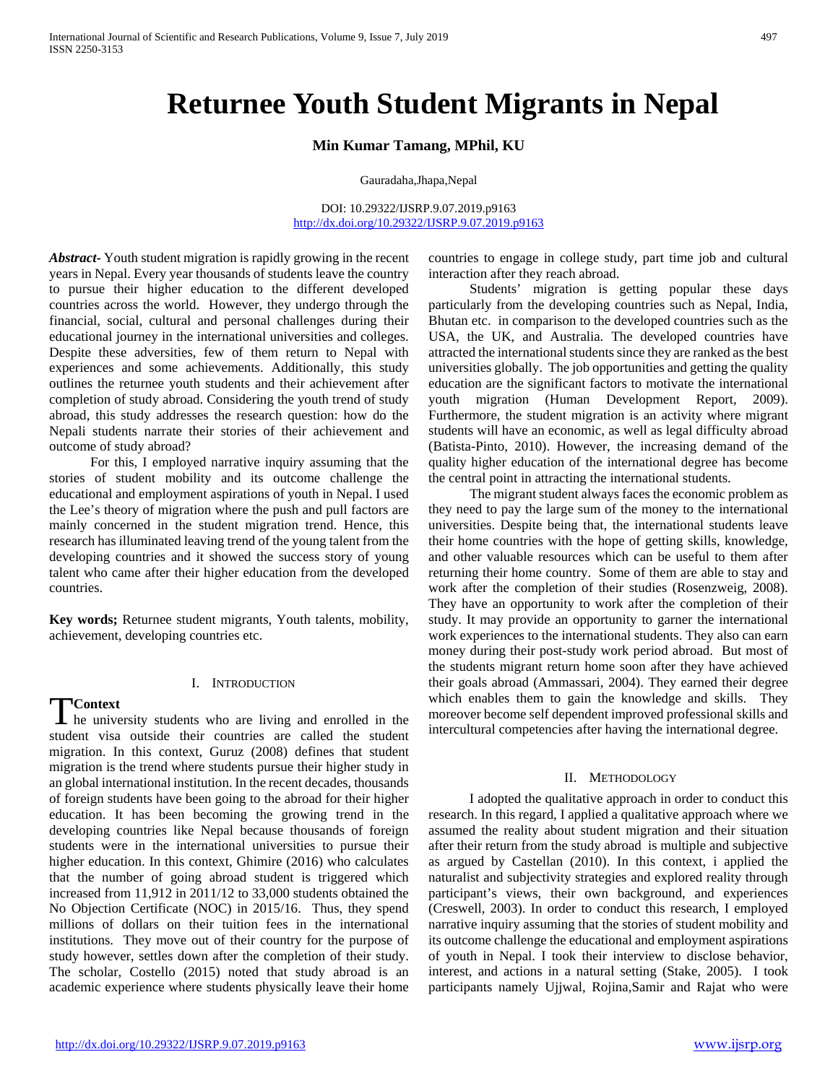# **Returnee Youth Student Migrants in Nepal**

#### **Min Kumar Tamang, MPhil, KU**

Gauradaha,Jhapa,Nepal

DOI: 10.29322/IJSRP.9.07.2019.p9163 <http://dx.doi.org/10.29322/IJSRP.9.07.2019.p9163>

*Abstract***-** Youth student migration is rapidly growing in the recent years in Nepal. Every year thousands of students leave the country to pursue their higher education to the different developed countries across the world. However, they undergo through the financial, social, cultural and personal challenges during their educational journey in the international universities and colleges. Despite these adversities, few of them return to Nepal with experiences and some achievements. Additionally, this study outlines the returnee youth students and their achievement after completion of study abroad. Considering the youth trend of study abroad, this study addresses the research question: how do the Nepali students narrate their stories of their achievement and outcome of study abroad?

 For this, I employed narrative inquiry assuming that the stories of student mobility and its outcome challenge the educational and employment aspirations of youth in Nepal. I used the Lee's theory of migration where the push and pull factors are mainly concerned in the student migration trend. Hence, this research has illuminated leaving trend of the young talent from the developing countries and it showed the success story of young talent who came after their higher education from the developed countries.

**Key words;** Returnee student migrants, Youth talents, mobility, achievement, developing countries etc.

#### I. INTRODUCTION

**Context**

Tontext<br>
The university students who are living and enrolled in the student visa outside their countries are called the student migration. In this context, Guruz (2008) defines that student migration is the trend where students pursue their higher study in an global international institution. In the recent decades, thousands of foreign students have been going to the abroad for their higher education. It has been becoming the growing trend in the developing countries like Nepal because thousands of foreign students were in the international universities to pursue their higher education. In this context, Ghimire (2016) who calculates that the number of going abroad student is triggered which increased from 11,912 in 2011/12 to 33,000 students obtained the No Objection Certificate (NOC) in 2015/16. Thus, they spend millions of dollars on their tuition fees in the international institutions. They move out of their country for the purpose of study however, settles down after the completion of their study. The scholar, Costello (2015) noted that study abroad is an academic experience where students physically leave their home

countries to engage in college study, part time job and cultural interaction after they reach abroad.

 Students' migration is getting popular these days particularly from the developing countries such as Nepal, India, Bhutan etc. in comparison to the developed countries such as the USA, the UK, and Australia. The developed countries have attracted the international students since they are ranked as the best universities globally. The job opportunities and getting the quality education are the significant factors to motivate the international youth migration (Human Development Report, 2009). Furthermore, the student migration is an activity where migrant students will have an economic, as well as legal difficulty abroad (Batista-Pinto, 2010). However, the increasing demand of the quality higher education of the international degree has become the central point in attracting the international students.

 The migrant student always faces the economic problem as they need to pay the large sum of the money to the international universities. Despite being that, the international students leave their home countries with the hope of getting skills, knowledge, and other valuable resources which can be useful to them after returning their home country. Some of them are able to stay and work after the completion of their studies (Rosenzweig, 2008). They have an opportunity to work after the completion of their study. It may provide an opportunity to garner the international work experiences to the international students. They also can earn money during their post-study work period abroad. But most of the students migrant return home soon after they have achieved their goals abroad (Ammassari, 2004). They earned their degree which enables them to gain the knowledge and skills. They moreover become self dependent improved professional skills and intercultural competencies after having the international degree.

#### II. METHODOLOGY

 I adopted the qualitative approach in order to conduct this research. In this regard, I applied a qualitative approach where we assumed the reality about student migration and their situation after their return from the study abroad is multiple and subjective as argued by Castellan (2010). In this context, i applied the naturalist and subjectivity strategies and explored reality through participant's views, their own background, and experiences (Creswell, 2003). In order to conduct this research, I employed narrative inquiry assuming that the stories of student mobility and its outcome challenge the educational and employment aspirations of youth in Nepal. I took their interview to disclose behavior, interest, and actions in a natural setting (Stake, 2005). I took participants namely Ujjwal, Rojina,Samir and Rajat who were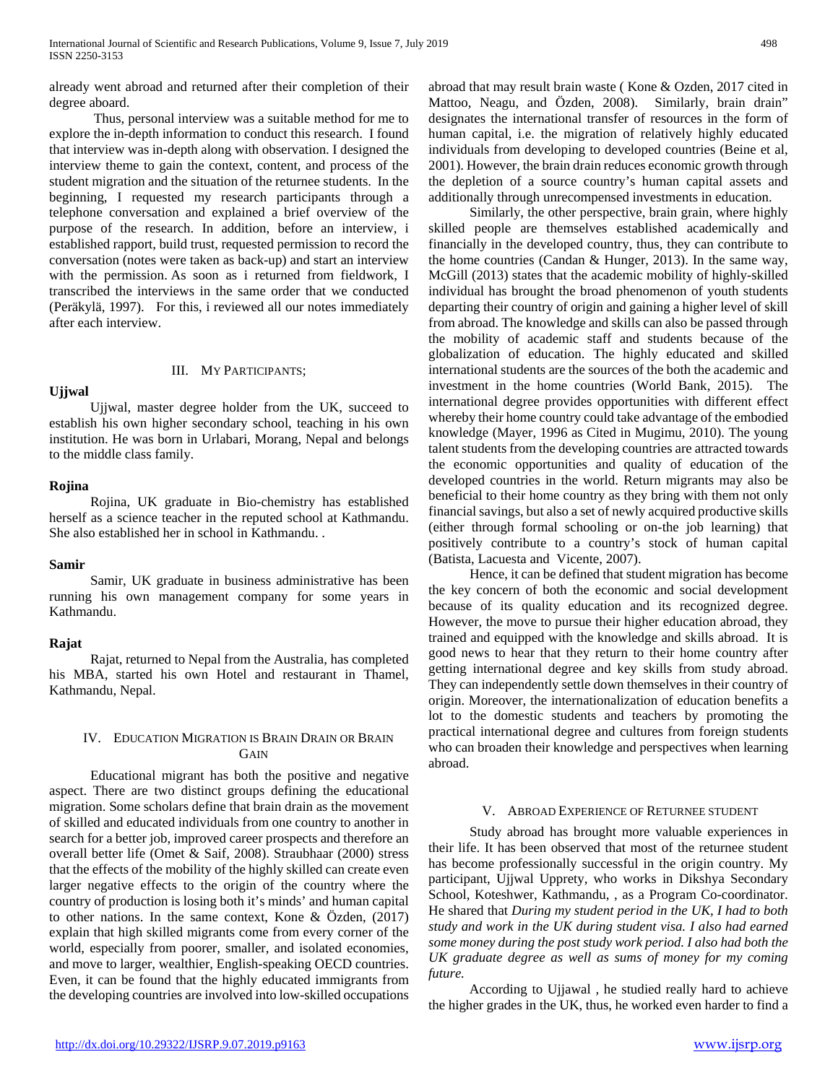already went abroad and returned after their completion of their degree aboard.

 Thus, personal interview was a suitable method for me to explore the in-depth information to conduct this research. I found that interview was in-depth along with observation. I designed the interview theme to gain the context, content, and process of the student migration and the situation of the returnee students. In the beginning, I requested my research participants through a telephone conversation and explained a brief overview of the purpose of the research. In addition, before an interview, i established rapport, build trust, requested permission to record the conversation (notes were taken as back-up) and start an interview with the permission. As soon as i returned from fieldwork, I transcribed the interviews in the same order that we conducted (Peräkylä, 1997). For this, i reviewed all our notes immediately after each interview.

## **Ujjwal**

## III. MY PARTICIPANTS;

 Ujjwal, master degree holder from the UK, succeed to establish his own higher secondary school, teaching in his own institution. He was born in Urlabari, Morang, Nepal and belongs to the middle class family.

## **Rojina**

 Rojina, UK graduate in Bio-chemistry has established herself as a science teacher in the reputed school at Kathmandu. She also established her in school in Kathmandu. .

#### **Samir**

 Samir, UK graduate in business administrative has been running his own management company for some years in Kathmandu.

## **Rajat**

 Rajat, returned to Nepal from the Australia, has completed his MBA, started his own Hotel and restaurant in Thamel, Kathmandu, Nepal.

## IV. EDUCATION MIGRATION IS BRAIN DRAIN OR BRAIN **GAIN**

 Educational migrant has both the positive and negative aspect. There are two distinct groups defining the educational migration. Some scholars define that brain drain as the movement of skilled and educated individuals from one country to another in search for a better job, improved career prospects and therefore an overall better life (Omet & Saif, 2008). Straubhaar (2000) stress that the effects of the mobility of the highly skilled can create even larger negative effects to the origin of the country where the country of production is losing both it's minds' and human capital to other nations. In the same context, Kone & Özden, (2017) explain that high skilled migrants come from every corner of the world, especially from poorer, smaller, and isolated economies, and move to larger, wealthier, English-speaking OECD countries. Even, it can be found that the highly educated immigrants from the developing countries are involved into low-skilled occupations abroad that may result brain waste ( Kone & Ozden, 2017 cited in Mattoo, Neagu, and Özden, 2008). Similarly, brain drain" designates the international transfer of resources in the form of human capital, i.e. the migration of relatively highly educated individuals from developing to developed countries (Beine et al, 2001). However, the brain drain reduces economic growth through the depletion of a source country's human capital assets and additionally through unrecompensed investments in education.

 Similarly, the other perspective, brain grain, where highly skilled people are themselves established academically and financially in the developed country, thus, they can contribute to the home countries (Candan & Hunger, 2013). In the same way, McGill (2013) states that the academic mobility of highly-skilled individual has brought the broad phenomenon of youth students departing their country of origin and gaining a higher level of skill from abroad. The knowledge and skills can also be passed through the mobility of academic staff and students because of the globalization of education. The highly educated and skilled international students are the sources of the both the academic and investment in the home countries (World Bank, 2015). The international degree provides opportunities with different effect whereby their home country could take advantage of the embodied knowledge (Mayer, 1996 as Cited in Mugimu, 2010). The young talent students from the developing countries are attracted towards the economic opportunities and quality of education of the developed countries in the world. Return migrants may also be beneficial to their home country as they bring with them not only financial savings, but also a set of newly acquired productive skills (either through formal schooling or on-the job learning) that positively contribute to a country's stock of human capital (Batista, Lacuesta and Vicente, 2007).

 Hence, it can be defined that student migration has become the key concern of both the economic and social development because of its quality education and its recognized degree. However, the move to pursue their higher education abroad, they trained and equipped with the knowledge and skills abroad. It is good news to hear that they return to their home country after getting international degree and key skills from study abroad. They can independently settle down themselves in their country of origin. Moreover, the internationalization of education benefits a lot to the domestic students and teachers by promoting the practical international degree and cultures from foreign students who can broaden their knowledge and perspectives when learning abroad.

## V. ABROAD EXPERIENCE OF RETURNEE STUDENT

 Study abroad has brought more valuable experiences in their life. It has been observed that most of the returnee student has become professionally successful in the origin country. My participant, Ujjwal Upprety, who works in Dikshya Secondary School, Koteshwer, Kathmandu, , as a Program Co-coordinator. He shared that *During my student period in the UK, I had to both study and work in the UK during student visa. I also had earned some money during the post study work period. I also had both the UK graduate degree as well as sums of money for my coming future.*

 According to Ujjawal *,* he studied really hard to achieve the higher grades in the UK, thus, he worked even harder to find a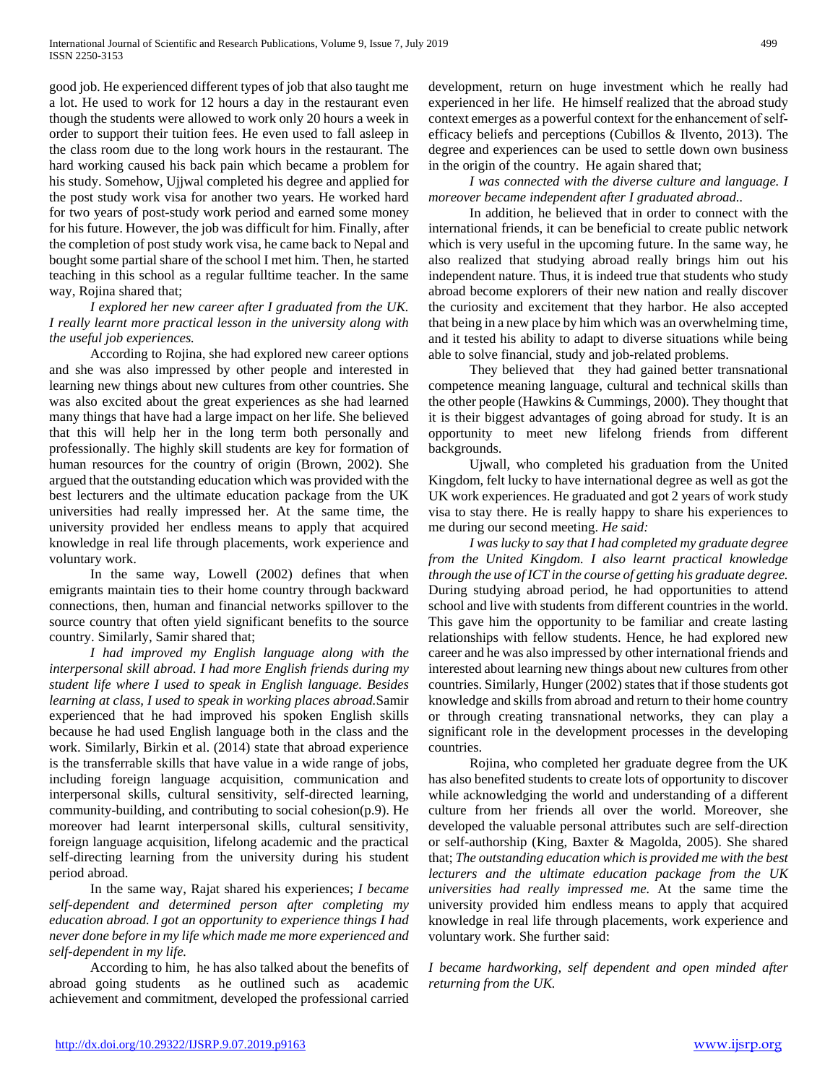good job. He experienced different types of job that also taught me a lot. He used to work for 12 hours a day in the restaurant even though the students were allowed to work only 20 hours a week in order to support their tuition fees. He even used to fall asleep in the class room due to the long work hours in the restaurant. The hard working caused his back pain which became a problem for his study. Somehow, Ujjwal completed his degree and applied for the post study work visa for another two years. He worked hard for two years of post-study work period and earned some money for his future. However, the job was difficult for him. Finally, after the completion of post study work visa, he came back to Nepal and bought some partial share of the school I met him. Then, he started teaching in this school as a regular fulltime teacher. In the same way, Rojina shared that;

 *I explored her new career after I graduated from the UK. I really learnt more practical lesson in the university along with the useful job experiences.*

 According to Rojina, she had explored new career options and she was also impressed by other people and interested in learning new things about new cultures from other countries. She was also excited about the great experiences as she had learned many things that have had a large impact on her life. She believed that this will help her in the long term both personally and professionally. The highly skill students are key for formation of human resources for the country of origin (Brown, 2002). She argued that the outstanding education which was provided with the best lecturers and the ultimate education package from the UK universities had really impressed her. At the same time, the university provided her endless means to apply that acquired knowledge in real life through placements, work experience and voluntary work.

 In the same way, Lowell (2002) defines that when emigrants maintain ties to their home country through backward connections, then, human and financial networks spillover to the source country that often yield significant benefits to the source country. Similarly, Samir shared that;

 *I had improved my English language along with the interpersonal skill abroad. I had more English friends during my student life where I used to speak in English language. Besides learning at class, I used to speak in working places abroad.*Samir experienced that he had improved his spoken English skills because he had used English language both in the class and the work. Similarly, Birkin et al. (2014) state that abroad experience is the transferrable skills that have value in a wide range of jobs, including foreign language acquisition, communication and interpersonal skills, cultural sensitivity, self-directed learning, community-building, and contributing to social cohesion(p.9). He moreover had learnt interpersonal skills, cultural sensitivity, foreign language acquisition, lifelong academic and the practical self-directing learning from the university during his student period abroad.

 In the same way, Rajat shared his experiences; *I became self-dependent and determined person after completing my education abroad. I got an opportunity to experience things I had never done before in my life which made me more experienced and self-dependent in my life.*

 According to him, he has also talked about the benefits of abroad going students as he outlined such as academic achievement and commitment, developed the professional carried

development, return on huge investment which he really had experienced in her life. He himself realized that the abroad study context emerges as a powerful context for the enhancement of self‐ efficacy beliefs and perceptions (Cubillos & Ilvento, 2013). The degree and experiences can be used to settle down own business in the origin of the country. He again shared that;

 *I was connected with the diverse culture and language. I moreover became independent after I graduated abroad..*

 In addition, he believed that in order to connect with the international friends, it can be beneficial to create public network which is very useful in the upcoming future. In the same way, he also realized that studying abroad really brings him out his independent nature. Thus, it is indeed true that students who study abroad become explorers of their new nation and really discover the curiosity and excitement that they harbor. He also accepted that being in a new place by him which was an overwhelming time, and it tested his ability to adapt to diverse situations while being able to solve financial, study and job-related problems.

They believed that they had gained better transnational competence meaning language, cultural and technical skills than the other people (Hawkins & Cummings, 2000). They thought that it is their biggest advantages of going abroad for study. It is an opportunity to meet new lifelong friends from different backgrounds.

 Ujwall, who completed his graduation from the United Kingdom, felt lucky to have international degree as well as got the UK work experiences. He graduated and got 2 years of work study visa to stay there. He is really happy to share his experiences to me during our second meeting. *He said:* 

 *I was lucky to say that I had completed my graduate degree from the United Kingdom. I also learnt practical knowledge through the use of ICT in the course of getting his graduate degree.*  During studying abroad period, he had opportunities to attend school and live with students from different countries in the world. This gave him the opportunity to be familiar and create lasting relationships with fellow students. Hence, he had explored new career and he was also impressed by other international friends and interested about learning new things about new cultures from other countries. Similarly, Hunger (2002) states that if those students got knowledge and skills from abroad and return to their home country or through creating transnational networks, they can play a significant role in the development processes in the developing countries.

 Rojina, who completed her graduate degree from the UK has also benefited students to create lots of opportunity to discover while acknowledging the world and understanding of a different culture from her friends all over the world. Moreover, she developed the valuable personal attributes such are self-direction or self-authorship (King, Baxter & Magolda, 2005). She shared that; *The outstanding education which is provided me with the best lecturers and the ultimate education package from the UK universities had really impressed me.* At the same time the university provided him endless means to apply that acquired knowledge in real life through placements, work experience and voluntary work. She further said:

*I became hardworking, self dependent and open minded after returning from the UK.*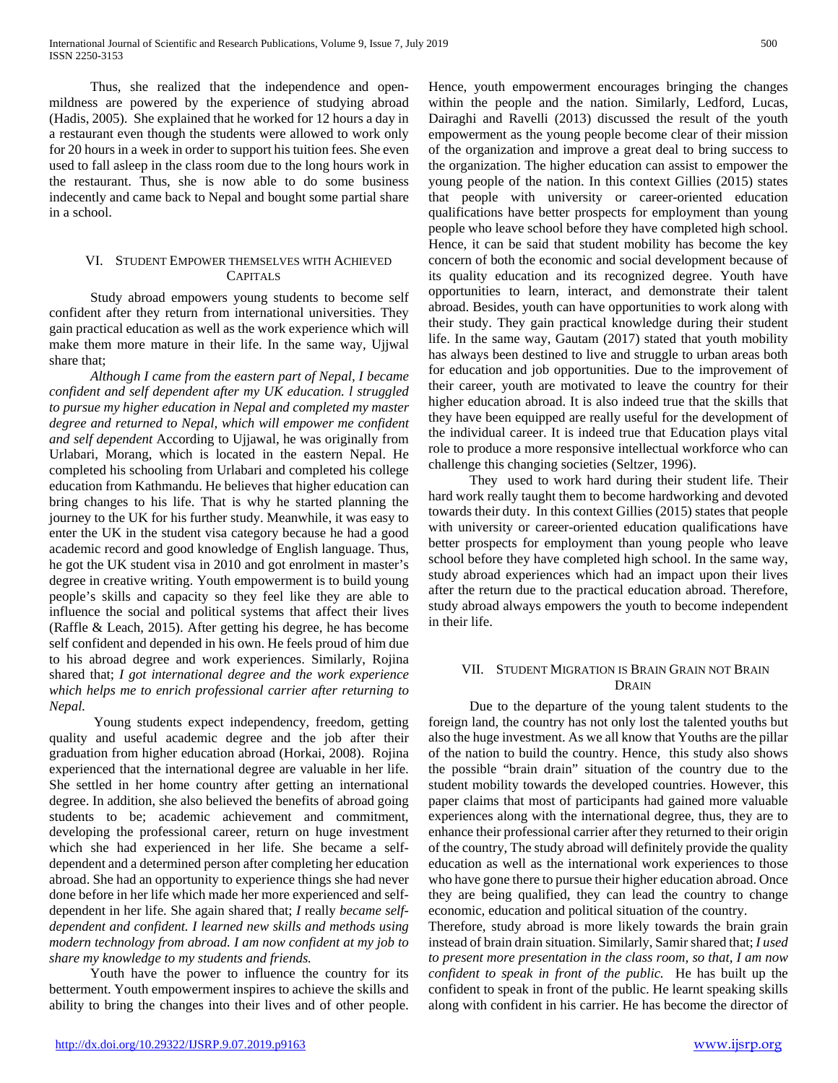Thus, she realized that the independence and openmildness are powered by the experience of studying abroad (Hadis, 2005). She explained that he worked for 12 hours a day in a restaurant even though the students were allowed to work only for 20 hours in a week in order to support his tuition fees. She even used to fall asleep in the class room due to the long hours work in the restaurant. Thus, she is now able to do some business indecently and came back to Nepal and bought some partial share in a school.

# VI. STUDENT EMPOWER THEMSELVES WITH ACHIEVED CAPITALS

 Study abroad empowers young students to become self confident after they return from international universities. They gain practical education as well as the work experience which will make them more mature in their life. In the same way, Ujjwal share that;

 *Although I came from the eastern part of Nepal, I became confident and self dependent after my UK education. l struggled to pursue my higher education in Nepal and completed my master degree and returned to Nepal, which will empower me confident and self dependent* According to Ujjawal, he was originally from Urlabari, Morang, which is located in the eastern Nepal. He completed his schooling from Urlabari and completed his college education from Kathmandu. He believes that higher education can bring changes to his life. That is why he started planning the journey to the UK for his further study. Meanwhile, it was easy to enter the UK in the student visa category because he had a good academic record and good knowledge of English language. Thus, he got the UK student visa in 2010 and got enrolment in master's degree in creative writing. Youth empowerment is to build young people's skills and capacity so they feel like they are able to influence the social and political systems that affect their lives (Raffle & Leach, 2015). After getting his degree, he has become self confident and depended in his own. He feels proud of him due to his abroad degree and work experiences. Similarly, Rojina shared that; *I got international degree and the work experience which helps me to enrich professional carrier after returning to Nepal.*

 Young students expect independency, freedom, getting quality and useful academic degree and the job after their graduation from higher education abroad (Horkai, 2008). Rojina experienced that the international degree are valuable in her life. She settled in her home country after getting an international degree. In addition, she also believed the benefits of abroad going students to be; academic achievement and commitment, developing the professional career, return on huge investment which she had experienced in her life. She became a selfdependent and a determined person after completing her education abroad. She had an opportunity to experience things she had never done before in her life which made her more experienced and selfdependent in her life. She again shared that; *I* really *became selfdependent and confident. I learned new skills and methods using modern technology from abroad. I am now confident at my job to share my knowledge to my students and friends.* 

 Youth have the power to influence the country for its betterment. Youth empowerment inspires to achieve the skills and ability to bring the changes into their lives and of other people. Hence, youth empowerment encourages bringing the changes within the people and the nation. Similarly, Ledford, Lucas, Dairaghi and Ravelli (2013) discussed the result of the youth empowerment as the young people become clear of their mission of the organization and improve a great deal to bring success to the organization. The higher education can assist to empower the young people of the nation. In this context Gillies (2015) states that people with university or career-oriented education qualifications have better prospects for employment than young people who leave school before they have completed high school. Hence, it can be said that student mobility has become the key concern of both the economic and social development because of its quality education and its recognized degree. Youth have opportunities to learn, interact, and demonstrate their talent abroad. Besides, youth can have opportunities to work along with their study. They gain practical knowledge during their student life. In the same way, Gautam (2017) stated that youth mobility has always been destined to live and struggle to urban areas both for education and job opportunities. Due to the improvement of their career, youth are motivated to leave the country for their higher education abroad. It is also indeed true that the skills that they have been equipped are really useful for the development of the individual career. It is indeed true that Education plays vital role to produce a more responsive intellectual workforce who can challenge this changing societies (Seltzer, 1996).

 They used to work hard during their student life. Their hard work really taught them to become hardworking and devoted towards their duty. In this context Gillies (2015) states that people with university or career-oriented education qualifications have better prospects for employment than young people who leave school before they have completed high school. In the same way, study abroad experiences which had an impact upon their lives after the return due to the practical education abroad. Therefore, study abroad always empowers the youth to become independent in their life.

## VII. STUDENT MIGRATION IS BRAIN GRAIN NOT BRAIN **DRAIN**

 Due to the departure of the young talent students to the foreign land, the country has not only lost the talented youths but also the huge investment. As we all know that Youths are the pillar of the nation to build the country. Hence, this study also shows the possible "brain drain" situation of the country due to the student mobility towards the developed countries. However, this paper claims that most of participants had gained more valuable experiences along with the international degree, thus, they are to enhance their professional carrier after they returned to their origin of the country, The study abroad will definitely provide the quality education as well as the international work experiences to those who have gone there to pursue their higher education abroad. Once they are being qualified, they can lead the country to change economic, education and political situation of the country.

Therefore, study abroad is more likely towards the brain grain instead of brain drain situation. Similarly, Samir shared that; *I used to present more presentation in the class room, so that, I am now confident to speak in front of the public.* He has built up the confident to speak in front of the public. He learnt speaking skills along with confident in his carrier. He has become the director of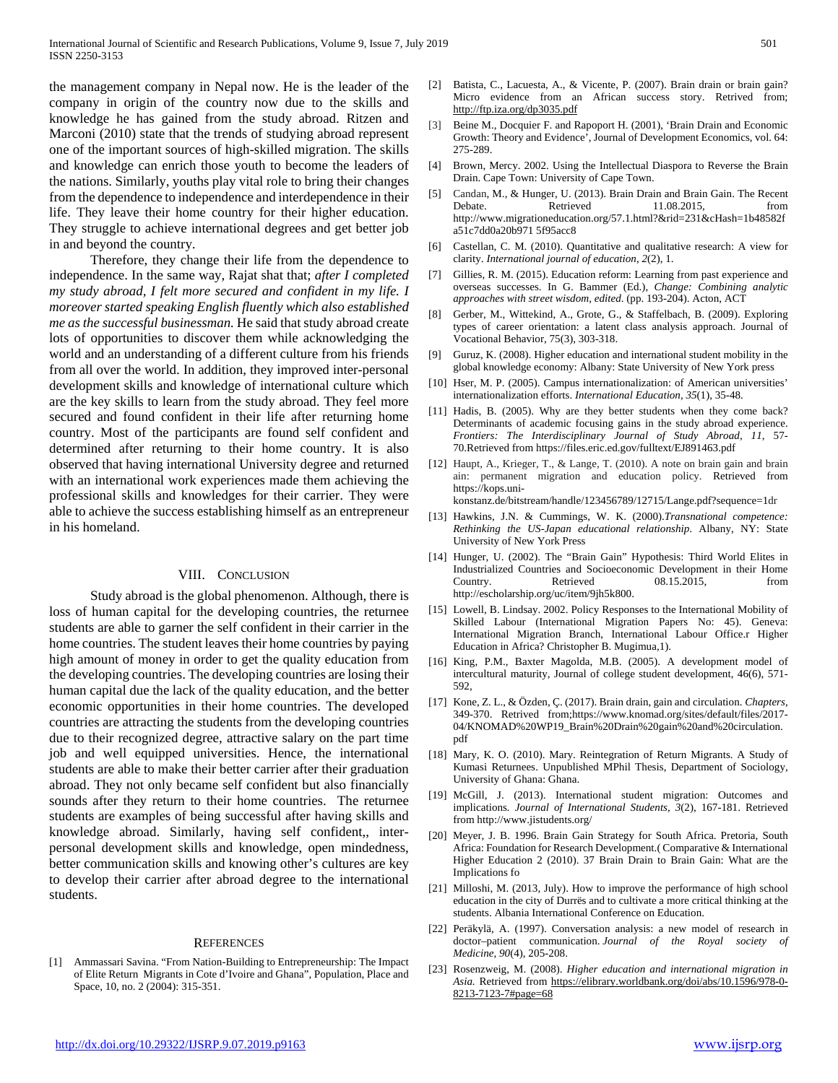the management company in Nepal now. He is the leader of the company in origin of the country now due to the skills and knowledge he has gained from the study abroad. Ritzen and Marconi (2010) state that the trends of studying abroad represent one of the important sources of high-skilled migration. The skills and knowledge can enrich those youth to become the leaders of the nations. Similarly, youths play vital role to bring their changes from the dependence to independence and interdependence in their life. They leave their home country for their higher education. They struggle to achieve international degrees and get better job in and beyond the country.

 Therefore, they change their life from the dependence to independence. In the same way, Rajat shat that; *after I completed my study abroad, I felt more secured and confident in my life. I moreover started speaking English fluently which also established me as the successful businessman.* He said that study abroad create lots of opportunities to discover them while acknowledging the world and an understanding of a different culture from his friends from all over the world. In addition, they improved inter-personal development skills and knowledge of international culture which are the key skills to learn from the study abroad. They feel more secured and found confident in their life after returning home country. Most of the participants are found self confident and determined after returning to their home country. It is also observed that having international University degree and returned with an international work experiences made them achieving the professional skills and knowledges for their carrier. They were able to achieve the success establishing himself as an entrepreneur in his homeland.

#### VIII. CONCLUSION

 Study abroad is the global phenomenon. Although, there is loss of human capital for the developing countries, the returnee students are able to garner the self confident in their carrier in the home countries. The student leaves their home countries by paying high amount of money in order to get the quality education from the developing countries. The developing countries are losing their human capital due the lack of the quality education, and the better economic opportunities in their home countries. The developed countries are attracting the students from the developing countries due to their recognized degree, attractive salary on the part time job and well equipped universities. Hence, the international students are able to make their better carrier after their graduation abroad. They not only became self confident but also financially sounds after they return to their home countries. The returnee students are examples of being successful after having skills and knowledge abroad. Similarly, having self confident,, interpersonal development skills and knowledge, open mindedness, better communication skills and knowing other's cultures are key to develop their carrier after abroad degree to the international students.

#### **REFERENCES**

[1] Ammassari Savina. "From Nation-Building to Entrepreneurship: The Impact of Elite Return Migrants in Cote d'Ivoire and Ghana", Population, Place and Space, 10, no. 2 (2004): 315-351.

- [2] Batista, C., Lacuesta, A., & Vicente, P. (2007). Brain drain or brain gain? Micro evidence from an African success story. Retrived from; <http://ftp.iza.org/dp3035.pdf>
- [3] Beine M., Docquier F. and Rapoport H. (2001), 'Brain Drain and Economic Growth: Theory and Evidence', Journal of Development Economics, vol. 64: 275-289.
- [4] Brown, Mercy. 2002. Using the Intellectual Diaspora to Reverse the Brain Drain. Cape Town: University of Cape Town.
- [5] Candan, M., & Hunger, U. (2013). Brain Drain and Brain Gain. The Recent Debate. Retrieved 11.08.2015, from http://www.migrationeducation.org/57.1.html?&rid=231&cHash=1b48582f a51c7dd0a20b971 5f95acc8
- [6] Castellan, C. M. (2010). Quantitative and qualitative research: A view for clarity. *International journal of education*, *2*(2), 1.
- [7] Gillies, R. M. (2015). Education reform: Learning from past experience and overseas successes. In G. Bammer (Ed.), *Change: Combining analytic approaches with street wisdom, edited*. (pp. 193-204). Acton, ACT
- [8] Gerber, M., Wittekind, A., Grote, G., & Staffelbach, B. (2009). Exploring types of career orientation: a latent class analysis approach. Journal of Vocational Behavior, 75(3), 303-318.
- [9] Guruz, K. (2008). Higher education and international student mobility in the global knowledge economy: Albany: State University of New York press
- [10] Hser, M. P. (2005). Campus internationalization: of American universities' internationalization efforts. *International Education, 35*(1), 35-48.
- [11] Hadis, B. (2005). Why are they better students when they come back? Determinants of academic focusing gains in the study abroad experience. *Frontiers: The Interdisciplinary Journal of Study Abroad, 11*, 57- 70.Retrieved from https://files.eric.ed.gov/fulltext/EJ891463.pdf
- [12] Haupt, A., Krieger, T., & Lange, T. (2010). A note on brain gain and brain ain: permanent migration and education policy. Retrieved from [https://kops.uni-](https://kops.uni-konstanz.de/bitstream/handle/123456789/12715/Lange.pdf?sequence=1)

[konstanz.de/bitstream/handle/123456789/12715/Lange.pdf?sequence=1d](https://kops.uni-konstanz.de/bitstream/handle/123456789/12715/Lange.pdf?sequence=1)r

- [13] Hawkins, J.N. & Cummings, W. K. (2000).*Transnational competence: Rethinking the US-Japan educational relationship*. Albany, NY: State University of New York Press
- [14] Hunger, U. (2002). The "Brain Gain" Hypothesis: Third World Elites in Industrialized Countries and Socioeconomic Development in their Home Country. Retrieved 08.15.2015, from http://escholarship.org/uc/item/9jh5k800.
- [15] Lowell, B. Lindsay. 2002. Policy Responses to the International Mobility of Skilled Labour (International Migration Papers No: 45). Geneva: International Migration Branch, International Labour Office.r Higher Education in Africa? Christopher B. Mugimua,1).
- [16] King, P.M., Baxter Magolda, M.B. (2005). A development model of intercultural maturity, Journal of college student development, 46(6), 571- 592,
- [17] Kone, Z. L., & Özden, Ç. (2017). Brain drain, gain and circulation. *Chapters*, 349-370. Retrived from;https://www.knomad.org/sites/default/files/2017- 04/KNOMAD%20WP19\_Brain%20Drain%20gain%20and%20circulation. pdf
- [18] Mary, K. O. (2010). Mary. Reintegration of Return Migrants. A Study of Kumasi Returnees. Unpublished MPhil Thesis, Department of Sociology, University of Ghana: Ghana.
- [19] McGill, J. (2013). International student migration: Outcomes and implications*. Journal of International Students, 3*(2), 167-181. Retrieved from<http://www.jistudents.org/>
- [20] Meyer, J. B. 1996. Brain Gain Strategy for South Africa. Pretoria, South Africa: Foundation for Research Development.( Comparative & International Higher Education 2 (2010). 37 Brain Drain to Brain Gain: What are the Implications fo
- [21] Milloshi, M. (2013, July). How to improve the performance of high school education in the city of Durrës and to cultivate a more critical thinking at the students. Albania International Conference on Education.
- [22] Peräkylä, A. (1997). Conversation analysis: a new model of research in doctor–patient communication. *Journal of the Royal society of Medicine*, *90*(4), 205-208.
- [23] Rosenzweig, M. (2008). *Higher education and international migration in Asia.* Retrieved from [https://elibrary.worldbank.org/doi/abs/10.1596/978-0-](https://elibrary.worldbank.org/doi/abs/10.1596/978-0-8213-7123-7#page=68) [8213-7123-7#page=68](https://elibrary.worldbank.org/doi/abs/10.1596/978-0-8213-7123-7#page=68)